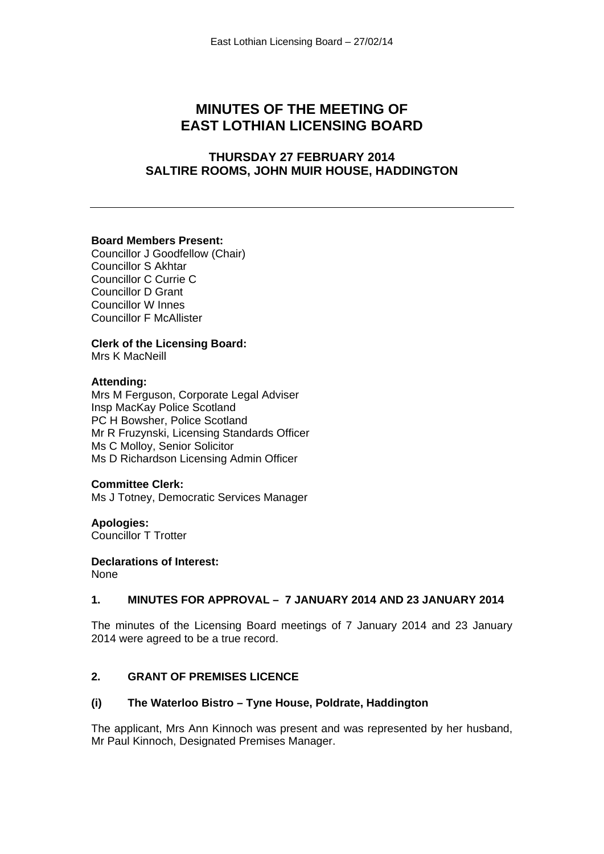# **MINUTES OF THE MEETING OF EAST LOTHIAN LICENSING BOARD**

## **THURSDAY 27 FEBRUARY 2014 SALTIRE ROOMS, JOHN MUIR HOUSE, HADDINGTON**

#### **Board Members Present:**

Councillor J Goodfellow (Chair) Councillor S Akhtar Councillor C Currie C Councillor D Grant Councillor W Innes Councillor F McAllister

## **Clerk of the Licensing Board:**

Mrs K MacNeill

#### **Attending:**

Mrs M Ferguson, Corporate Legal Adviser Insp MacKay Police Scotland PC H Bowsher, Police Scotland Mr R Fruzynski, Licensing Standards Officer Ms C Molloy, Senior Solicitor Ms D Richardson Licensing Admin Officer

#### **Committee Clerk:**

Ms J Totney, Democratic Services Manager

**Apologies:**  Councillor T Trotter

**Declarations of Interest:**  None

## **1. MINUTES FOR APPROVAL – 7 JANUARY 2014 AND 23 JANUARY 2014**

The minutes of the Licensing Board meetings of 7 January 2014 and 23 January 2014 were agreed to be a true record.

## **2. GRANT OF PREMISES LICENCE**

## **(i) The Waterloo Bistro – Tyne House, Poldrate, Haddington**

The applicant, Mrs Ann Kinnoch was present and was represented by her husband, Mr Paul Kinnoch, Designated Premises Manager.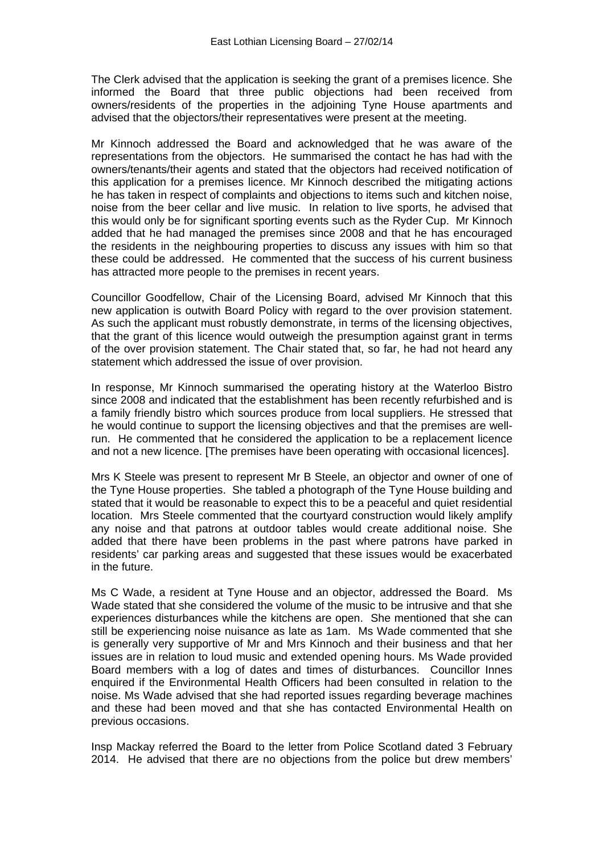The Clerk advised that the application is seeking the grant of a premises licence. She informed the Board that three public objections had been received from owners/residents of the properties in the adjoining Tyne House apartments and advised that the objectors/their representatives were present at the meeting.

Mr Kinnoch addressed the Board and acknowledged that he was aware of the representations from the objectors. He summarised the contact he has had with the owners/tenants/their agents and stated that the objectors had received notification of this application for a premises licence. Mr Kinnoch described the mitigating actions he has taken in respect of complaints and objections to items such and kitchen noise, noise from the beer cellar and live music. In relation to live sports, he advised that this would only be for significant sporting events such as the Ryder Cup. Mr Kinnoch added that he had managed the premises since 2008 and that he has encouraged the residents in the neighbouring properties to discuss any issues with him so that these could be addressed. He commented that the success of his current business has attracted more people to the premises in recent years.

Councillor Goodfellow, Chair of the Licensing Board, advised Mr Kinnoch that this new application is outwith Board Policy with regard to the over provision statement. As such the applicant must robustly demonstrate, in terms of the licensing objectives, that the grant of this licence would outweigh the presumption against grant in terms of the over provision statement. The Chair stated that, so far, he had not heard any statement which addressed the issue of over provision.

In response, Mr Kinnoch summarised the operating history at the Waterloo Bistro since 2008 and indicated that the establishment has been recently refurbished and is a family friendly bistro which sources produce from local suppliers. He stressed that he would continue to support the licensing objectives and that the premises are wellrun. He commented that he considered the application to be a replacement licence and not a new licence. [The premises have been operating with occasional licences].

Mrs K Steele was present to represent Mr B Steele, an objector and owner of one of the Tyne House properties. She tabled a photograph of the Tyne House building and stated that it would be reasonable to expect this to be a peaceful and quiet residential location. Mrs Steele commented that the courtyard construction would likely amplify any noise and that patrons at outdoor tables would create additional noise. She added that there have been problems in the past where patrons have parked in residents' car parking areas and suggested that these issues would be exacerbated in the future.

Ms C Wade, a resident at Tyne House and an objector, addressed the Board. Ms Wade stated that she considered the volume of the music to be intrusive and that she experiences disturbances while the kitchens are open. She mentioned that she can still be experiencing noise nuisance as late as 1am. Ms Wade commented that she is generally very supportive of Mr and Mrs Kinnoch and their business and that her issues are in relation to loud music and extended opening hours. Ms Wade provided Board members with a log of dates and times of disturbances. Councillor Innes enquired if the Environmental Health Officers had been consulted in relation to the noise. Ms Wade advised that she had reported issues regarding beverage machines and these had been moved and that she has contacted Environmental Health on previous occasions.

Insp Mackay referred the Board to the letter from Police Scotland dated 3 February 2014. He advised that there are no objections from the police but drew members'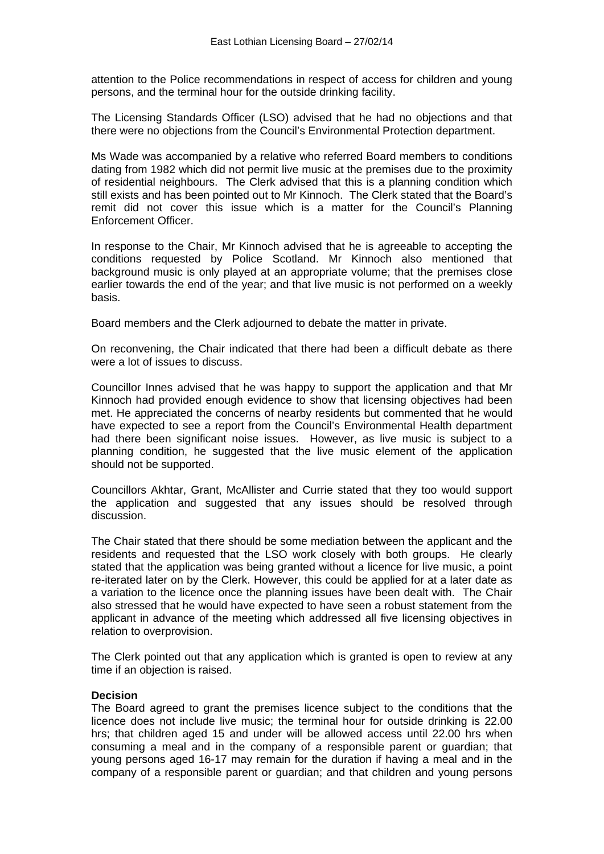attention to the Police recommendations in respect of access for children and young persons, and the terminal hour for the outside drinking facility.

The Licensing Standards Officer (LSO) advised that he had no objections and that there were no objections from the Council's Environmental Protection department.

Ms Wade was accompanied by a relative who referred Board members to conditions dating from 1982 which did not permit live music at the premises due to the proximity of residential neighbours. The Clerk advised that this is a planning condition which still exists and has been pointed out to Mr Kinnoch. The Clerk stated that the Board's remit did not cover this issue which is a matter for the Council's Planning Enforcement Officer.

In response to the Chair, Mr Kinnoch advised that he is agreeable to accepting the conditions requested by Police Scotland. Mr Kinnoch also mentioned that background music is only played at an appropriate volume; that the premises close earlier towards the end of the year; and that live music is not performed on a weekly basis.

Board members and the Clerk adjourned to debate the matter in private.

On reconvening, the Chair indicated that there had been a difficult debate as there were a lot of issues to discuss.

Councillor Innes advised that he was happy to support the application and that Mr Kinnoch had provided enough evidence to show that licensing objectives had been met. He appreciated the concerns of nearby residents but commented that he would have expected to see a report from the Council's Environmental Health department had there been significant noise issues. However, as live music is subject to a planning condition, he suggested that the live music element of the application should not be supported.

Councillors Akhtar, Grant, McAllister and Currie stated that they too would support the application and suggested that any issues should be resolved through discussion.

The Chair stated that there should be some mediation between the applicant and the residents and requested that the LSO work closely with both groups. He clearly stated that the application was being granted without a licence for live music, a point re-iterated later on by the Clerk. However, this could be applied for at a later date as a variation to the licence once the planning issues have been dealt with. The Chair also stressed that he would have expected to have seen a robust statement from the applicant in advance of the meeting which addressed all five licensing objectives in relation to overprovision.

The Clerk pointed out that any application which is granted is open to review at any time if an objection is raised.

#### **Decision**

The Board agreed to grant the premises licence subject to the conditions that the licence does not include live music; the terminal hour for outside drinking is 22.00 hrs; that children aged 15 and under will be allowed access until 22.00 hrs when consuming a meal and in the company of a responsible parent or guardian; that young persons aged 16-17 may remain for the duration if having a meal and in the company of a responsible parent or guardian; and that children and young persons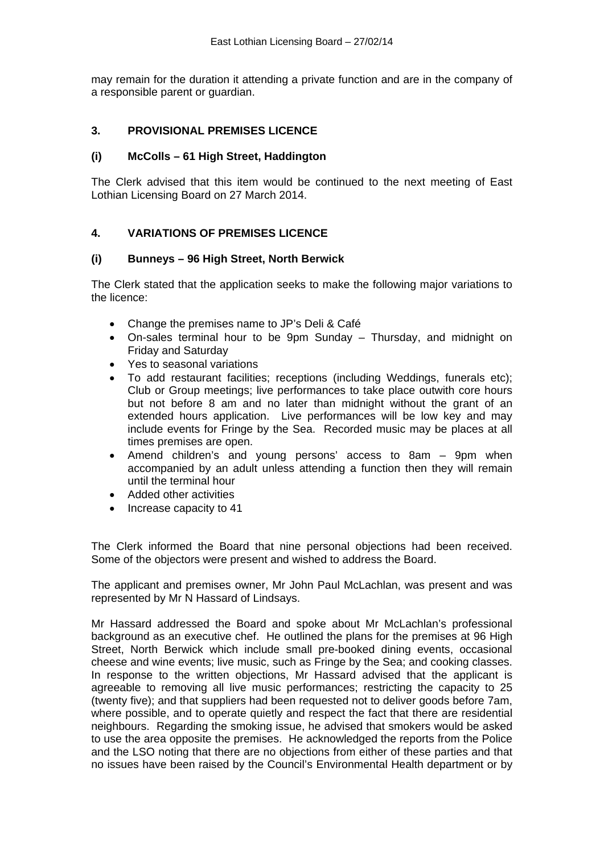may remain for the duration it attending a private function and are in the company of a responsible parent or guardian.

## **3. PROVISIONAL PREMISES LICENCE**

#### **(i) McColls – 61 High Street, Haddington**

The Clerk advised that this item would be continued to the next meeting of East Lothian Licensing Board on 27 March 2014.

## **4. VARIATIONS OF PREMISES LICENCE**

#### **(i) Bunneys – 96 High Street, North Berwick**

The Clerk stated that the application seeks to make the following major variations to the licence:

- Change the premises name to JP's Deli & Café
- On-sales terminal hour to be 9pm Sunday Thursday, and midnight on Friday and Saturday
- Yes to seasonal variations
- To add restaurant facilities; receptions (including Weddings, funerals etc); Club or Group meetings; live performances to take place outwith core hours but not before 8 am and no later than midnight without the grant of an extended hours application. Live performances will be low key and may include events for Fringe by the Sea. Recorded music may be places at all times premises are open.
- Amend children's and young persons' access to 8am 9pm when accompanied by an adult unless attending a function then they will remain until the terminal hour
- Added other activities
- Increase capacity to 41

The Clerk informed the Board that nine personal objections had been received. Some of the objectors were present and wished to address the Board.

The applicant and premises owner, Mr John Paul McLachlan, was present and was represented by Mr N Hassard of Lindsays.

Mr Hassard addressed the Board and spoke about Mr McLachlan's professional background as an executive chef. He outlined the plans for the premises at 96 High Street, North Berwick which include small pre-booked dining events, occasional cheese and wine events; live music, such as Fringe by the Sea; and cooking classes. In response to the written objections, Mr Hassard advised that the applicant is agreeable to removing all live music performances; restricting the capacity to 25 (twenty five); and that suppliers had been requested not to deliver goods before 7am, where possible, and to operate quietly and respect the fact that there are residential neighbours. Regarding the smoking issue, he advised that smokers would be asked to use the area opposite the premises. He acknowledged the reports from the Police and the LSO noting that there are no objections from either of these parties and that no issues have been raised by the Council's Environmental Health department or by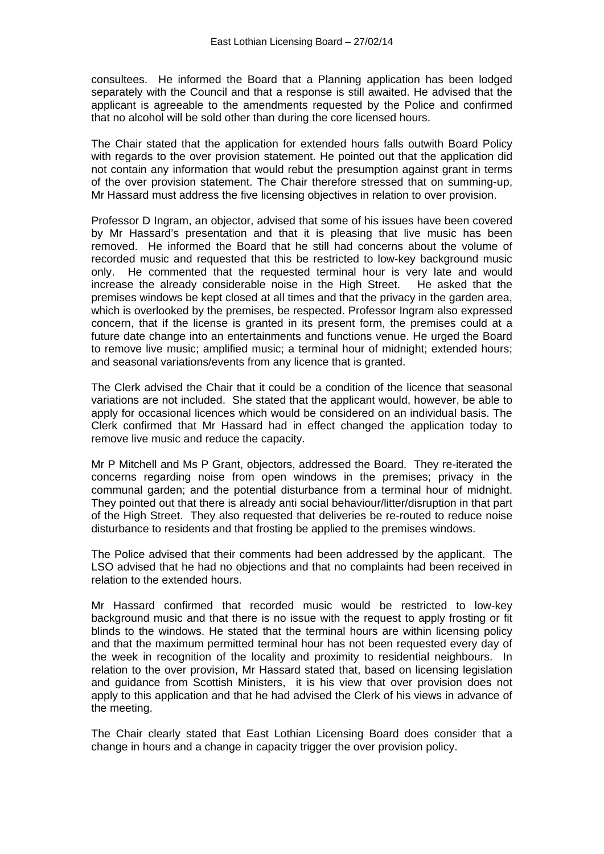consultees. He informed the Board that a Planning application has been lodged separately with the Council and that a response is still awaited. He advised that the applicant is agreeable to the amendments requested by the Police and confirmed that no alcohol will be sold other than during the core licensed hours.

The Chair stated that the application for extended hours falls outwith Board Policy with regards to the over provision statement. He pointed out that the application did not contain any information that would rebut the presumption against grant in terms of the over provision statement. The Chair therefore stressed that on summing-up, Mr Hassard must address the five licensing objectives in relation to over provision.

Professor D Ingram, an objector, advised that some of his issues have been covered by Mr Hassard's presentation and that it is pleasing that live music has been removed. He informed the Board that he still had concerns about the volume of recorded music and requested that this be restricted to low-key background music only. He commented that the requested terminal hour is very late and would increase the already considerable noise in the High Street. He asked that the premises windows be kept closed at all times and that the privacy in the garden area, which is overlooked by the premises, be respected. Professor Ingram also expressed concern, that if the license is granted in its present form, the premises could at a future date change into an entertainments and functions venue. He urged the Board to remove live music; amplified music; a terminal hour of midnight; extended hours; and seasonal variations/events from any licence that is granted.

The Clerk advised the Chair that it could be a condition of the licence that seasonal variations are not included. She stated that the applicant would, however, be able to apply for occasional licences which would be considered on an individual basis. The Clerk confirmed that Mr Hassard had in effect changed the application today to remove live music and reduce the capacity.

Mr P Mitchell and Ms P Grant, objectors, addressed the Board. They re-iterated the concerns regarding noise from open windows in the premises; privacy in the communal garden; and the potential disturbance from a terminal hour of midnight. They pointed out that there is already anti social behaviour/litter/disruption in that part of the High Street. They also requested that deliveries be re-routed to reduce noise disturbance to residents and that frosting be applied to the premises windows.

The Police advised that their comments had been addressed by the applicant. The LSO advised that he had no objections and that no complaints had been received in relation to the extended hours.

Mr Hassard confirmed that recorded music would be restricted to low-key background music and that there is no issue with the request to apply frosting or fit blinds to the windows. He stated that the terminal hours are within licensing policy and that the maximum permitted terminal hour has not been requested every day of the week in recognition of the locality and proximity to residential neighbours. In relation to the over provision, Mr Hassard stated that, based on licensing legislation and guidance from Scottish Ministers, it is his view that over provision does not apply to this application and that he had advised the Clerk of his views in advance of the meeting.

The Chair clearly stated that East Lothian Licensing Board does consider that a change in hours and a change in capacity trigger the over provision policy.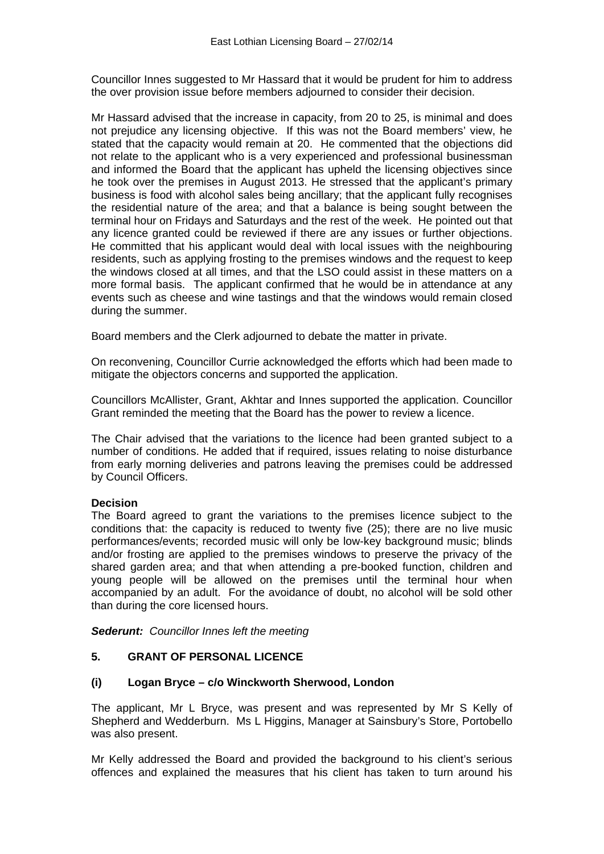Councillor Innes suggested to Mr Hassard that it would be prudent for him to address the over provision issue before members adjourned to consider their decision.

Mr Hassard advised that the increase in capacity, from 20 to 25, is minimal and does not prejudice any licensing objective. If this was not the Board members' view, he stated that the capacity would remain at 20. He commented that the objections did not relate to the applicant who is a very experienced and professional businessman and informed the Board that the applicant has upheld the licensing objectives since he took over the premises in August 2013. He stressed that the applicant's primary business is food with alcohol sales being ancillary; that the applicant fully recognises the residential nature of the area; and that a balance is being sought between the terminal hour on Fridays and Saturdays and the rest of the week. He pointed out that any licence granted could be reviewed if there are any issues or further objections. He committed that his applicant would deal with local issues with the neighbouring residents, such as applying frosting to the premises windows and the request to keep the windows closed at all times, and that the LSO could assist in these matters on a more formal basis. The applicant confirmed that he would be in attendance at any events such as cheese and wine tastings and that the windows would remain closed during the summer.

Board members and the Clerk adjourned to debate the matter in private.

On reconvening, Councillor Currie acknowledged the efforts which had been made to mitigate the objectors concerns and supported the application.

Councillors McAllister, Grant, Akhtar and Innes supported the application. Councillor Grant reminded the meeting that the Board has the power to review a licence.

The Chair advised that the variations to the licence had been granted subject to a number of conditions. He added that if required, issues relating to noise disturbance from early morning deliveries and patrons leaving the premises could be addressed by Council Officers.

## **Decision**

The Board agreed to grant the variations to the premises licence subject to the conditions that: the capacity is reduced to twenty five (25); there are no live music performances/events; recorded music will only be low-key background music; blinds and/or frosting are applied to the premises windows to preserve the privacy of the shared garden area; and that when attending a pre-booked function, children and young people will be allowed on the premises until the terminal hour when accompanied by an adult. For the avoidance of doubt, no alcohol will be sold other than during the core licensed hours.

*Sederunt: Councillor Innes left the meeting* 

## **5. GRANT OF PERSONAL LICENCE**

## **(i) Logan Bryce – c/o Winckworth Sherwood, London**

The applicant, Mr L Bryce, was present and was represented by Mr S Kelly of Shepherd and Wedderburn. Ms L Higgins, Manager at Sainsbury's Store, Portobello was also present.

Mr Kelly addressed the Board and provided the background to his client's serious offences and explained the measures that his client has taken to turn around his